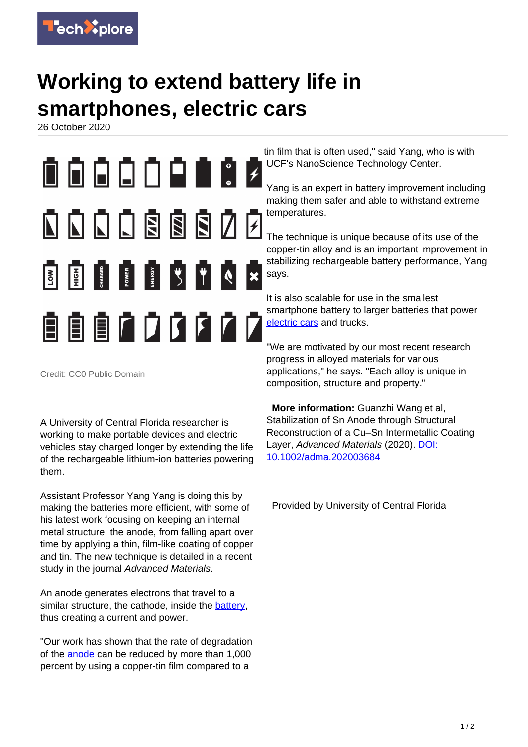

## **Working to extend battery life in smartphones, electric cars**

26 October 2020



Credit: CC0 Public Domain

A University of Central Florida researcher is working to make portable devices and electric vehicles stay charged longer by extending the life of the rechargeable lithium-ion batteries powering them.

Assistant Professor Yang Yang is doing this by making the batteries more efficient, with some of his latest work focusing on keeping an internal metal structure, the anode, from falling apart over time by applying a thin, film-like coating of copper and tin. The new technique is detailed in a recent study in the journal Advanced Materials.

An anode generates electrons that travel to a similar structure, the cathode, inside the [battery](https://techxplore.com/tags/battery/), thus creating a current and power.

"Our work has shown that the rate of degradation of the [anode](https://techxplore.com/tags/anode/) can be reduced by more than 1,000 percent by using a copper-tin film compared to a

tin film that is often used," said Yang, who is with UCF's NanoScience Technology Center.

Yang is an expert in battery improvement including making them safer and able to withstand extreme temperatures.

The technique is unique because of its use of the copper-tin alloy and is an important improvement in stabilizing rechargeable battery performance, Yang says.

It is also scalable for use in the smallest smartphone battery to larger batteries that power [electric cars](https://techxplore.com/tags/electric+cars/) and trucks.

"We are motivated by our most recent research progress in alloyed materials for various applications," he says. "Each alloy is unique in composition, structure and property."

 **More information:** Guanzhi Wang et al, Stabilization of Sn Anode through Structural Reconstruction of a Cu–Sn Intermetallic Coating Layer, Advanced Materials (2020). [DOI:](http://dx.doi.org/10.1002/adma.202003684) [10.1002/adma.202003684](http://dx.doi.org/10.1002/adma.202003684)

Provided by University of Central Florida